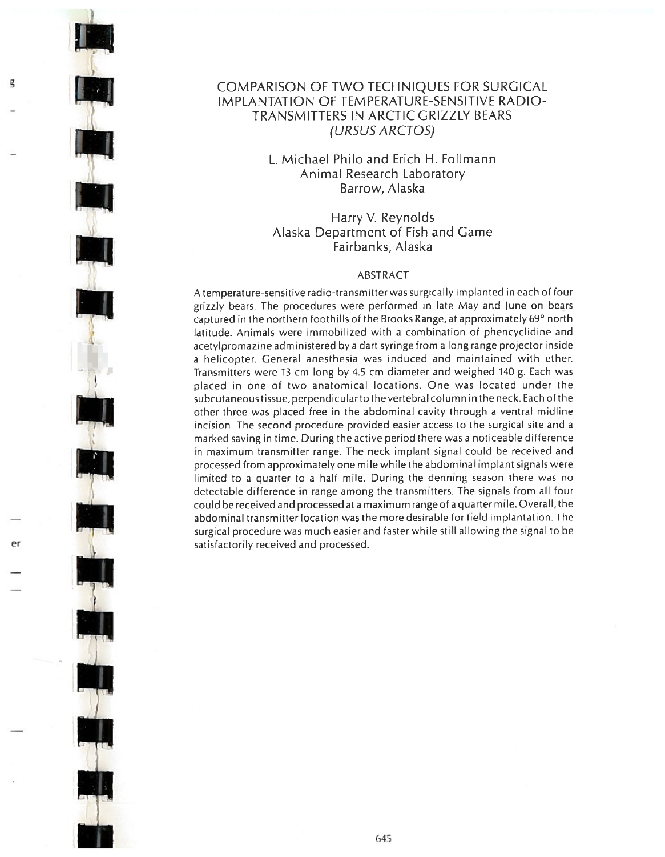## COMPARISON OF TWO TECHNIQUES FOR SURGICAL IMPLANTATION OF TEMPERATURE-SENSITIVE RADIO-TRANSMITTERS IN ARCTIC GRIZZLY BEARS (URSUS ARCTOS)

## L. Michael Philo and Erich H. Follmann Animal Research Laboratory Barrow, Alaska

Harry V. Reynolds Alaska Department of Fish and Game Fairbanks, Alaska

## ABSTRACT

A temperature-sensitive radio-transmitter was surgically implanted in each of four grizzly bears. The procedures were performed in late May and June on bears captured in the northern foothills of the Brooks Range, at approximately 69° north latitude. Animals were immobilized with <sup>a</sup> combination of phencyclidine and acetylpromazine administered by <sup>a</sup> dart syringe from <sup>a</sup> long range projector inside a helicopter. General anesthesia was induced and maintained with ether. Transmitters were 13 cm long by 4.5 cm diameter and weighed <sup>110</sup> g. Each was placed in one of two anatomical locations. One was located under the subcutaneous tissue, perpendicularto the vertebral column in the neck. Each otthe other three was placed free in the abdominal cavity through <sup>a</sup> ventral midline incision. The second procedure provided easier access to the surgical site and <sup>a</sup> marked saving in time. During the active period there was <sup>a</sup> noticeable difference in maximum transmitter range. The neck implant signal could be received and processed from approximately one mile while the abdominal implant signals were limited to <sup>a</sup> quarter to <sup>a</sup> half mile. During the denning season there was no detectable difference in range among the transmitters. The signals from all four could be received and processed at a maximum range of a quarter mile. Overall, the abdominal transmitter location was the more desirable for field implantation. The surgical procedure was much easier and faster while still allowing the signal to be satisfactorily received and processed. \_\_\_\_\_\_\_ \_\_\_ er II